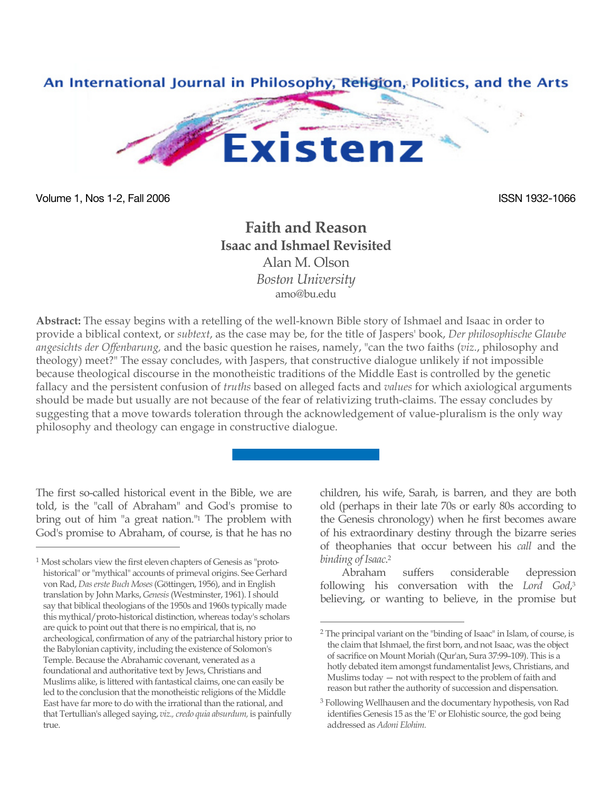

Volume 1, Nos 1-2, Fall 2006 **ISSN 1932-1066** ISSN 1932-1066

 $\overline{a}$ 

## **Faith and Reason Isaac and Ishmael Revisited** Alan M. Olson

*Boston University* amo@bu.edu

**Abstract:** The essay begins with a retelling of the well-known Bible story of Ishmael and Isaac in order to provide a biblical context, or *subtext*, as the case may be, for the title of Jaspers' book, *Der philosophische Glaube angesichts der Offenbarung,* and the basic question he raises, namely, "can the two faiths (*viz.*, philosophy and theology) meet?" The essay concludes, with Jaspers, that constructive dialogue unlikely if not impossible because theological discourse in the monotheistic traditions of the Middle East is controlled by the genetic fallacy and the persistent confusion of *truths* based on alleged facts and *values* for which axiological arguments should be made but usually are not because of the fear of relativizing truth-claims. The essay concludes by suggesting that a move towards toleration through the acknowledgement of value-pluralism is the only way philosophy and theology can engage in constructive dialogue.

The first so-called historical event in the Bible, we are told, is the "call of Abraham" and God's promise to bring out of him "a great nation."<sup>1</sup> The problem with God's promise to Abraham, of course, is that he has no

children, his wife, Sarah, is barren, and they are both old (perhaps in their late 70s or early 80s according to the Genesis chronology) when he first becomes aware of his extraordinary destiny through the bizarre series of theophanies that occur between his *call* and the *binding of Isaac*. 2

Abraham suffers considerable depression following his conversation with the *Lord God*, 3 believing, or wanting to believe, in the promise but

<sup>1</sup> Most scholars view the first eleven chapters of Genesis as "protohistorical" or "mythical" accounts of primeval origins. See Gerhard von Rad, *Das erste Buch Moses* (Göttingen, 1956), and in English translation by John Marks, *Genesis* (Westminster, 1961). I should say that biblical theologians of the 1950s and 1960s typically made this mythical/proto-historical distinction, whereas today's scholars are quick to point out that there is no empirical, that is, no archeological, confirmation of any of the patriarchal history prior to the Babylonian captivity, including the existence of Solomon's Temple. Because the Abrahamic covenant, venerated as a foundational and authoritative text by Jews, Christians and Muslims alike, is littered with fantastical claims, one can easily be led to the conclusion that the monotheistic religions of the Middle East have far more to do with the irrational than the rational, and that Tertullian's alleged saying, *viz., credo quia absurdum,* is painfully true.

 <sup>2</sup> The principal variant on the "binding of Isaac" in Islam, of course, is the claim that Ishmael, the first born, and not Isaac, was the object of sacrifice on Mount Moriah (Qur'an, Sura 37:99–109). This is a hotly debated item amongst fundamentalist Jews, Christians, and Muslims today — not with respect to the problem of faith and reason but rather the authority of succession and dispensation.

<sup>3</sup> Following Wellhausen and the documentary hypothesis, von Rad identifies Genesis 15 as the 'E' or Elohistic source, the god being addressed as *Adoni Elohim.*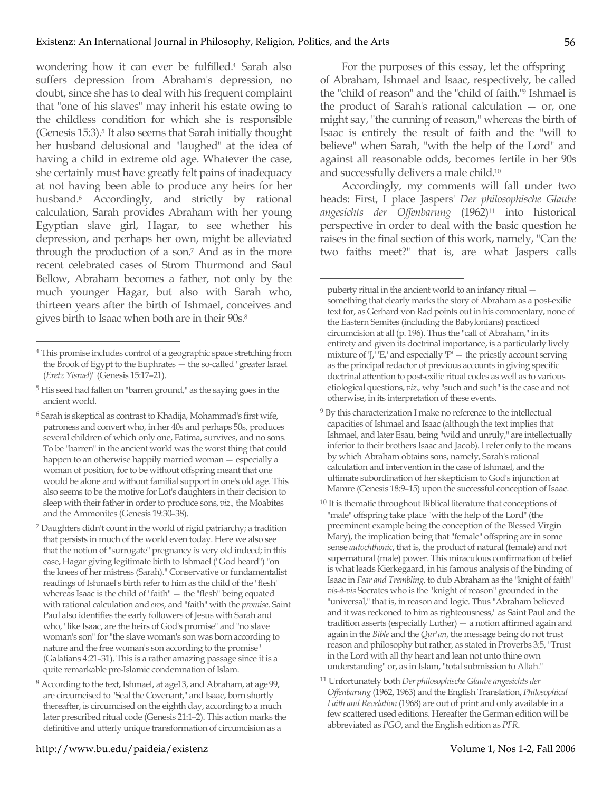wondering how it can ever be fulfilled.4 Sarah also suffers depression from Abraham's depression, no doubt, since she has to deal with his frequent complaint that "one of his slaves" may inherit his estate owing to the childless condition for which she is responsible (Genesis 15:3).5 It also seems that Sarah initially thought her husband delusional and "laughed" at the idea of having a child in extreme old age. Whatever the case, she certainly must have greatly felt pains of inadequacy at not having been able to produce any heirs for her husband.6 Accordingly, and strictly by rational calculation, Sarah provides Abraham with her young Egyptian slave girl, Hagar, to see whether his depression, and perhaps her own, might be alleviated through the production of a son.7 And as in the more recent celebrated cases of Strom Thurmond and Saul Bellow, Abraham becomes a father, not only by the much younger Hagar, but also with Sarah who, thirteen years after the birth of Ishmael, conceives and gives birth to Isaac when both are in their 90s.8

For the purposes of this essay, let the offspring of Abraham, Ishmael and Isaac, respectively, be called the "child of reason" and the "child of faith."9 Ishmael is the product of Sarah's rational calculation — or, one might say, "the cunning of reason," whereas the birth of Isaac is entirely the result of faith and the "will to believe" when Sarah, "with the help of the Lord" and against all reasonable odds, becomes fertile in her 90s and successfully delivers a male child.10

Accordingly, my comments will fall under two heads: First, I place Jaspers' *Der philosophische Glaube angesichts der Offenbarung* (1962)11 into historical perspective in order to deal with the basic question he raises in the final section of this work, namely, "Can the two faiths meet?" that is, are what Jaspers calls

 $\overline{a}$ 

- 9 By this characterization I make no reference to the intellectual capacities of Ishmael and Isaac (although the text implies that Ishmael, and later Esau, being "wild and unruly," are intellectually inferior to their brothers Isaac and Jacob). I refer only to the means by which Abraham obtains sons, namely, Sarah's rational calculation and intervention in the case of Ishmael, and the ultimate subordination of her skepticism to God's injunction at Mamre (Genesis 18:9–15) upon the successful conception of Isaac.
- <sup>10</sup> It is thematic throughout Biblical literature that conceptions of "male" offspring take place "with the help of the Lord" (the preeminent example being the conception of the Blessed Virgin Mary), the implication being that "female" offspring are in some sense *autochthonic*, that is, the product of natural (female) and not supernatural (male) power. This miraculous confirmation of belief is what leads Kierkegaard, in his famous analysis of the binding of Isaac in *Fear and Trembling,* to dub Abraham as the "knight of faith" *vis-à-vis* Socrates who is the "knight of reason" grounded in the "universal," that is, in reason and logic. Thus "Abraham believed and it was reckoned to him as righteousness," as Saint Paul and the tradition asserts (especially Luther) — a notion affirmed again and again in the *Bible* and the *Qur'an*, the message being do not trust reason and philosophy but rather, as stated in Proverbs 3:5, "Trust in the Lord with all thy heart and lean not unto thine own understanding" or, as in Islam, "total submission to Allah."
- 11 Unfortunately both *Der philosophische Glaube angesichts der Offenbarung* (1962, 1963) and the English Translation, *Philosophical Faith and Revelation* (1968) are out of print and only available in a few scattered used editions. Hereafter the German edition will be abbreviated as *PGO*, and the English edition as *PFR*.

 <sup>4</sup> This promise includes control of a geographic space stretching from the Brook of Egypt to the Euphrates — the so-called "greater Israel (*Eretz Yisrael*)" (Genesis 15:17–21).

<sup>5</sup> His seed had fallen on "barren ground," as the saying goes in the ancient world.

<sup>6</sup> Sarah is skeptical as contrast to Khadija, Mohammad's first wife, patroness and convert who, in her 40s and perhaps 50s, produces several children of which only one, Fatima, survives, and no sons. To be "barren" in the ancient world was the worst thing that could happen to an otherwise happily married woman — especially a woman of position, for to be without offspring meant that one would be alone and without familial support in one's old age. This also seems to be the motive for Lot's daughters in their decision to sleep with their father in order to produce sons, *viz.,* the Moabites and the Ammonites (Genesis 19:30–38).

<sup>7</sup> Daughters didn't count in the world of rigid patriarchy; a tradition that persists in much of the world even today. Here we also see that the notion of "surrogate" pregnancy is very old indeed; in this case, Hagar giving legitimate birth to Ishmael ("God heard") "on the knees of her mistress (Sarah)." Conservative or fundamentalist readings of Ishmael's birth refer to him as the child of the "flesh" whereas Isaac is the child of "faith" — the "flesh" being equated with rational calculation and *eros,* and "faith" with the *promise*. Saint Paul also identifies the early followers of Jesus with Sarah and who, "like Isaac, are the heirs of God's promise" and "no slave woman's son" for "the slave woman's son was born according to nature and the free woman's son according to the promise" (Galatians 4:21–31). This is a rather amazing passage since it is a quite remarkable pre-Islamic condemnation of Islam.

<sup>8</sup> According to the text, Ishmael, at age13, and Abraham, at age 99, are circumcised to "Seal the Covenant," and Isaac, born shortly thereafter, is circumcised on the eighth day, according to a much later prescribed ritual code (Genesis 21:1–2). This action marks the definitive and utterly unique transformation of circumcision as a

puberty ritual in the ancient world to an infancy ritual something that clearly marks the story of Abraham as a post-exilic text for, as Gerhard von Rad points out in his commentary, none of the Eastern Semites (including the Babylonians) practiced circumcision at all (p. 196). Thus the "call of Abraham," in its entirety and given its doctrinal importance, is a particularly lively mixture of 'J,' 'E,' and especially 'P'  $-$  the priestly account serving as the principal redactor of previous accounts in giving specific doctrinal attention to post-exilic ritual codes as well as to various etiological questions, *viz.,* why "such and such" is the case and not otherwise, in its interpretation of these events.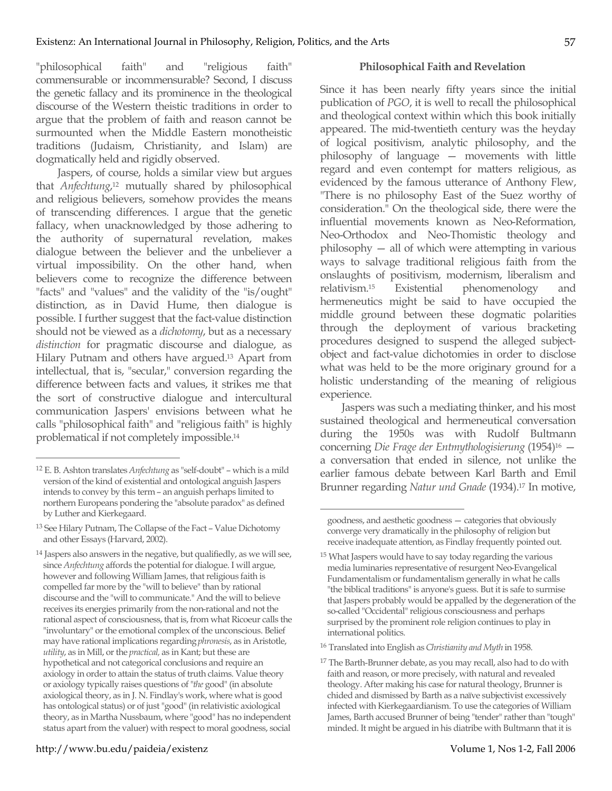"philosophical faith" and "religious faith" commensurable or incommensurable? Second, I discuss the genetic fallacy and its prominence in the theological discourse of the Western theistic traditions in order to argue that the problem of faith and reason cannot be surmounted when the Middle Eastern monotheistic traditions (Judaism, Christianity, and Islam) are dogmatically held and rigidly observed.

Jaspers, of course, holds a similar view but argues that *Anfechtung*, 12 mutually shared by philosophical and religious believers, somehow provides the means of transcending differences. I argue that the genetic fallacy, when unacknowledged by those adhering to the authority of supernatural revelation, makes dialogue between the believer and the unbeliever a virtual impossibility. On the other hand, when believers come to recognize the difference between "facts" and "values" and the validity of the "is/ought" distinction, as in David Hume, then dialogue is possible. I further suggest that the fact-value distinction should not be viewed as a *dichotomy*, but as a necessary *distinction* for pragmatic discourse and dialogue, as Hilary Putnam and others have argued.13 Apart from intellectual, that is, "secular," conversion regarding the difference between facts and values, it strikes me that the sort of constructive dialogue and intercultural communication Jaspers' envisions between what he calls "philosophical faith" and "religious faith" is highly problematical if not completely impossible.14

## **Philosophical Faith and Revelation**

Since it has been nearly fifty years since the initial publication of *PGO*, it is well to recall the philosophical and theological context within which this book initially appeared. The mid-twentieth century was the heyday of logical positivism, analytic philosophy, and the philosophy of language — movements with little regard and even contempt for matters religious, as evidenced by the famous utterance of Anthony Flew, "There is no philosophy East of the Suez worthy of consideration." On the theological side, there were the influential movements known as Neo-Reformation, Neo-Orthodox and Neo-Thomistic theology and philosophy — all of which were attempting in various ways to salvage traditional religious faith from the onslaughts of positivism, modernism, liberalism and relativism.15 Existential phenomenology and hermeneutics might be said to have occupied the middle ground between these dogmatic polarities through the deployment of various bracketing procedures designed to suspend the alleged subjectobject and fact-value dichotomies in order to disclose what was held to be the more originary ground for a holistic understanding of the meaning of religious experience.

Jaspers was such a mediating thinker, and his most sustained theological and hermeneutical conversation during the 1950s was with Rudolf Bultmann concerning *Die Frage der Entmythologisierung* (1954)16 a conversation that ended in silence, not unlike the earlier famous debate between Karl Barth and Emil Brunner regarding *Natur und Gnade* (1934).17 In motive,

 $\overline{a}$ 

16 Translated into English as *Christianity and Myth* in 1958.

 <sup>12</sup> E. B. Ashton translates *Anfechtung* as "self-doubt" – which is a mild version of the kind of existential and ontological anguish Jaspers intends to convey by this term – an anguish perhaps limited to northern Europeans pondering the "absolute paradox" as defined by Luther and Kierkegaard.

<sup>13</sup> See Hilary Putnam, The Collapse of the Fact – Value Dichotomy and other Essays (Harvard, 2002).

<sup>&</sup>lt;sup>14</sup> Jaspers also answers in the negative, but qualifiedly, as we will see, since *Anfechtung* affords the potential for dialogue. I will argue, however and following William James, that religious faith is compelled far more by the "will to believe" than by rational discourse and the "will to communicate." And the will to believe receives its energies primarily from the non-rational and not the rational aspect of consciousness, that is, from what Ricoeur calls the "involuntary" or the emotional complex of the unconscious. Belief may have rational implications regarding *phronesis*, as in Aristotle, *utility*, as in Mill, or the *practical,* as in Kant; but these are hypothetical and not categorical conclusions and require an axiology in order to attain the status of truth claims. Value theory or axiology typically raises questions of "*the* good" (in absolute axiological theory, as in J. N. Findlay's work, where what is good has ontological status) or of just "good" (in relativistic axiological theory, as in Martha Nussbaum, where "good" has no independent status apart from the valuer) with respect to moral goodness, social

goodness, and aesthetic goodness — categories that obviously converge very dramatically in the philosophy of religion but receive inadequate attention, as Findlay frequently pointed out.

<sup>15</sup> What Jaspers would have to say today regarding the various media luminaries representative of resurgent Neo-Evangelical Fundamentalism or fundamentalism generally in what he calls "the biblical traditions" is anyone's guess. But it is safe to surmise that Jaspers probably would be appalled by the degeneration of the so-called "Occidental" religious consciousness and perhaps surprised by the prominent role religion continues to play in international politics.

<sup>&</sup>lt;sup>17</sup> The Barth-Brunner debate, as you may recall, also had to do with faith and reason, or more precisely, with natural and revealed theology. After making his case for natural theology, Brunner is chided and dismissed by Barth as a naïve subjectivist excessively infected with Kierkegaardianism. To use the categories of William James, Barth accused Brunner of being "tender" rather than "tough" minded. It might be argued in his diatribe with Bultmann that it is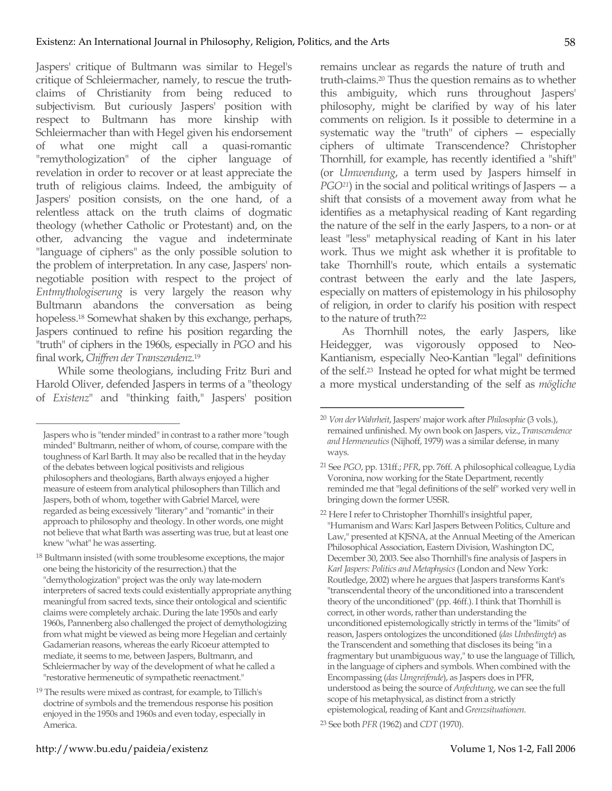Jaspers' critique of Bultmann was similar to Hegel's critique of Schleiermacher, namely, to rescue the truthclaims of Christianity from being reduced to subjectivism*.* But curiously Jaspers' position with respect to Bultmann has more kinship with Schleiermacher than with Hegel given his endorsement of what one might call a quasi-romantic "remythologization" of the cipher language of revelation in order to recover or at least appreciate the truth of religious claims. Indeed, the ambiguity of Jaspers' position consists, on the one hand, of a relentless attack on the truth claims of dogmatic theology (whether Catholic or Protestant) and, on the other, advancing the vague and indeterminate "language of ciphers" as the only possible solution to the problem of interpretation. In any case, Jaspers' nonnegotiable position with respect to the project of *Entmythologiserung* is very largely the reason why Bultmann abandons the conversation as being hopeless.<sup>18</sup> Somewhat shaken by this exchange, perhaps, Jaspers continued to refine his position regarding the "truth" of ciphers in the 1960s, especially in *PGO* and his final work, *Chiffren der Transzendenz*. 19

While some theologians, including Fritz Buri and Harold Oliver, defended Jaspers in terms of a "theology of *Existenz*" and "thinking faith," Jaspers' position

 $\overline{a}$ 

remains unclear as regards the nature of truth and truth-claims.20 Thus the question remains as to whether this ambiguity, which runs throughout Jaspers' philosophy, might be clarified by way of his later comments on religion. Is it possible to determine in a systematic way the "truth" of ciphers — especially ciphers of ultimate Transcendence? Christopher Thornhill, for example, has recently identified a "shift" (or *Umwendung*, a term used by Jaspers himself in *PGO<sup>21</sup>*) in the social and political writings of Jaspers — a shift that consists of a movement away from what he identifies as a metaphysical reading of Kant regarding the nature of the self in the early Jaspers, to a non- or at least "less" metaphysical reading of Kant in his later work. Thus we might ask whether it is profitable to take Thornhill's route, which entails a systematic contrast between the early and the late Jaspers, especially on matters of epistemology in his philosophy of religion, in order to clarify his position with respect to the nature of truth?22

As Thornhill notes, the early Jaspers, like Heidegger, was vigorously opposed to Neo-Kantianism, especially Neo-Kantian "legal" definitions of the self.23 Instead he opted for what might be termed a more mystical understanding of the self as *mögliche* 

## http://www.bu.edu/paideia/existenz Volume 1, Nos 1-2, Fall 2006

Jaspers who is "tender minded" in contrast to a rather more "tough minded" Bultmann, neither of whom, of course, compare with the toughness of Karl Barth. It may also be recalled that in the heyday of the debates between logical positivists and religious philosophers and theologians, Barth always enjoyed a higher measure of esteem from analytical philosophers than Tillich and Jaspers, both of whom, together with Gabriel Marcel, were regarded as being excessively "literary" and "romantic" in their approach to philosophy and theology. In other words, one might not believe that what Barth was asserting was true, but at least one knew "what" he was asserting.

<sup>&</sup>lt;sup>18</sup> Bultmann insisted (with some troublesome exceptions, the major one being the historicity of the resurrection.) that the "demythologization" project was the only way late-modern interpreters of sacred texts could existentially appropriate anything meaningful from sacred texts, since their ontological and scientific claims were completely archaic. During the late 1950s and early 1960s, Pannenberg also challenged the project of demythologizing from what might be viewed as being more Hegelian and certainly Gadamerian reasons, whereas the early Ricoeur attempted to mediate, it seems to me, between Jaspers, Bultmann, and Schleiermacher by way of the development of what he called a "restorative hermeneutic of sympathetic reenactment."

<sup>19</sup> The results were mixed as contrast, for example, to Tillich's doctrine of symbols and the tremendous response his position enjoyed in the 1950s and 1960s and even today, especially in America.

 <sup>20</sup> *Von der Wahrheit*, Jaspers' major work after *Philosophie* (3 vols.), remained unfinished. My own book on Jaspers, viz., *Transcendence and Hermeneutics* (Nijhoff, 1979) was a similar defense, in many ways.

<sup>21</sup> See *PGO*, pp. 131ff.; *PFR*, pp. 76ff. A philosophical colleague, Lydia Voronina, now working for the State Department, recently reminded me that "legal definitions of the self" worked very well in bringing down the former USSR.

<sup>22</sup> Here I refer to Christopher Thornhill's insightful paper, "Humanism and Wars: Karl Jaspers Between Politics, Culture and Law," presented at KJSNA, at the Annual Meeting of the American Philosophical Association, Eastern Division, Washington DC, December 30, 2003. See also Thornhill's fine analysis of Jaspers in *Karl Jaspers: Politics and Metaphysics* (London and New York: Routledge, 2002) where he argues that Jaspers transforms Kant's "transcendental theory of the unconditioned into a transcendent theory of the unconditioned" (pp. 46ff.). I think that Thornhill is correct, in other words, rather than understanding the unconditioned epistemologically strictly in terms of the "limits" of reason, Jaspers ontologizes the unconditioned (*das Unbedingte*) as the Transcendent and something that discloses its being "in a fragmentary but unambiguous way," to use the language of Tillich, in the language of ciphers and symbols. When combined with the Encompassing (*das Umgreifende*), as Jaspers does in PFR, understood as being the source of *Anfechtung*, we can see the full scope of his metaphysical, as distinct from a strictly epistemological, reading of Kant and *Grenzsituationen.*

<sup>23</sup> See both *PFR* (1962) and *CDT* (1970).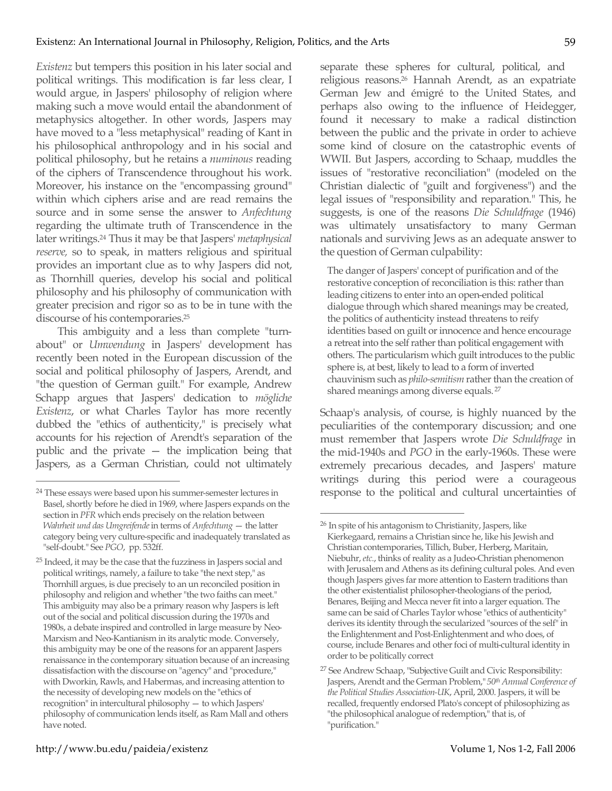*Existenz* but tempers this position in his later social and political writings. This modification is far less clear, I would argue, in Jaspers' philosophy of religion where making such a move would entail the abandonment of metaphysics altogether. In other words, Jaspers may have moved to a "less metaphysical" reading of Kant in his philosophical anthropology and in his social and political philosophy, but he retains a *numinous* reading of the ciphers of Transcendence throughout his work. Moreover, his instance on the "encompassing ground" within which ciphers arise and are read remains the source and in some sense the answer to *Anfechtung* regarding the ultimate truth of Transcendence in the later writings.24 Thus it may be that Jaspers' *metaphysical reserve,* so to speak, in matters religious and spiritual provides an important clue as to why Jaspers did not, as Thornhill queries, develop his social and political philosophy and his philosophy of communication with greater precision and rigor so as to be in tune with the discourse of his contemporaries.25

This ambiguity and a less than complete "turnabout" or *Umwendung* in Jaspers' development has recently been noted in the European discussion of the social and political philosophy of Jaspers, Arendt, and "the question of German guilt." For example, Andrew Schapp argues that Jaspers' dedication to *mögliche Existenz*, or what Charles Taylor has more recently dubbed the "ethics of authenticity," is precisely what accounts for his rejection of Arendt's separation of the public and the private — the implication being that Jaspers, as a German Christian, could not ultimately separate these spheres for cultural, political, and religious reasons.26 Hannah Arendt, as an expatriate German Jew and émigré to the United States, and perhaps also owing to the influence of Heidegger, found it necessary to make a radical distinction between the public and the private in order to achieve some kind of closure on the catastrophic events of WWII. But Jaspers, according to Schaap, muddles the issues of "restorative reconciliation" (modeled on the Christian dialectic of "guilt and forgiveness") and the legal issues of "responsibility and reparation." This, he suggests, is one of the reasons *Die Schuldfrage* (1946) was ultimately unsatisfactory to many German nationals and surviving Jews as an adequate answer to the question of German culpability:

The danger of Jaspers' concept of purification and of the restorative conception of reconciliation is this: rather than leading citizens to enter into an open-ended political dialogue through which shared meanings may be created, the politics of authenticity instead threatens to reify identities based on guilt or innocence and hence encourage a retreat into the self rather than political engagement with others. The particularism which guilt introduces to the public sphere is, at best, likely to lead to a form of inverted chauvinism such as *philo-semitism* rather than the creation of shared meanings among diverse equals. <sup>27</sup>

Schaap's analysis, of course, is highly nuanced by the peculiarities of the contemporary discussion; and one must remember that Jaspers wrote *Die Schuldfrage* in the mid-1940s and *PGO* in the early-1960s. These were extremely precarious decades, and Jaspers' mature writings during this period were a courageous response to the political and cultural uncertainties of

 <sup>24</sup> These essays were based upon his summer-semester lectures in Basel, shortly before he died in 1969, where Jaspers expands on the section in *PFR* which ends precisely on the relation between *Wahrheit und das Umgreifende* in terms of *Anfechtung* - the latter category being very culture-specific and inadequately translated as "self-doubt." See *PGO*, pp. 532ff.

<sup>25</sup> Indeed, it may be the case that the fuzziness in Jaspers social and political writings, namely, a failure to take "the next step," as Thornhill argues, is due precisely to an un reconciled position in philosophy and religion and whether "the two faiths can meet." This ambiguity may also be a primary reason why Jaspers is left out of the social and political discussion during the 1970s and 1980s, a debate inspired and controlled in large measure by Neo-Marxism and Neo-Kantianism in its analytic mode. Conversely, this ambiguity may be one of the reasons for an apparent Jaspers renaissance in the contemporary situation because of an increasing dissatisfaction with the discourse on "agency" and "procedure," with Dworkin, Rawls, and Habermas, and increasing attention to the necessity of developing new models on the "ethics of recognition" in intercultural philosophy — to which Jaspers' philosophy of communication lends itself, as Ram Mall and others have noted.

 <sup>26</sup> In spite of his antagonism to Christianity, Jaspers, like Kierkegaard, remains a Christian since he, like his Jewish and Christian contemporaries, Tillich, Buber, Herberg, Maritain, Niebuhr, *etc.*, thinks of reality as a Judeo-Christian phenomenon with Jerusalem and Athens as its defining cultural poles. And even though Jaspers gives far more attention to Eastern traditions than the other existentialist philosopher-theologians of the period, Benares, Beijing and Mecca never fit into a larger equation. The same can be said of Charles Taylor whose "ethics of authenticity" derives its identity through the secularized "sources of the self" in the Enlightenment and Post-Enlightenment and who does, of course, include Benares and other foci of multi-cultural identity in order to be politically correct

<sup>27</sup> See Andrew Schaap, "Subjective Guilt and Civic Responsibility: Jaspers, Arendt and the German Problem," *50th Annual Conference of the Political Studies Association-UK*, April, 2000. Jaspers, it will be recalled, frequently endorsed Plato's concept of philosophizing as "the philosophical analogue of redemption," that is, of "purification."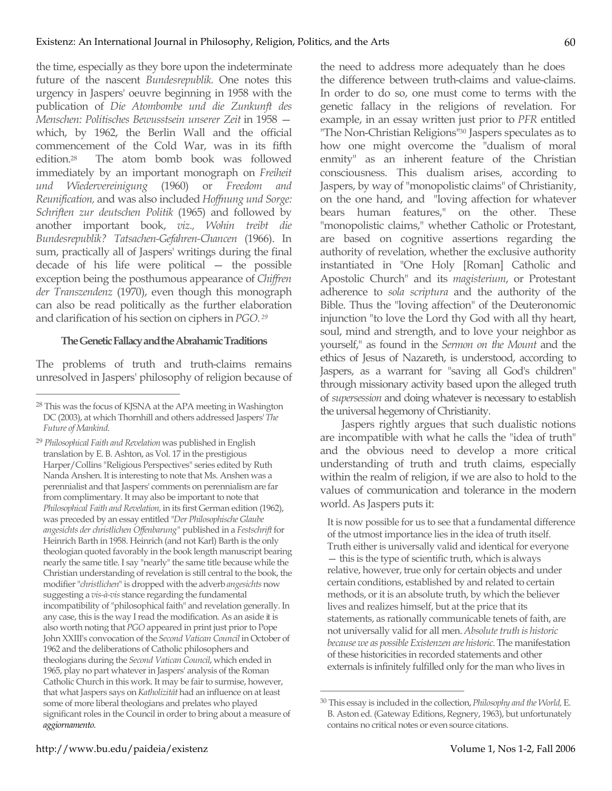the time, especially as they bore upon the indeterminate future of the nascent *Bundesrepublik.* One notes this urgency in Jaspers' oeuvre beginning in 1958 with the publication of *Die Atombombe und die Zunkunft des Menschen: Politisches Bewusstsein unserer Zeit* in 1958 which, by 1962, the Berlin Wall and the official commencement of the Cold War, was in its fifth edition.28 The atom bomb book was followed immediately by an important monograph on *Freiheit und Wiedervereinigung* (1960) or *Freedom and Reunification,* and was also included *Hoffnung und Sorge: Schriften zur deutschen Politik* (1965) and followed by another important book, *viz., Wohin treibt die Bundesrepublik? Tatsachen-Gefahren-Chancen* (1966). In sum, practically all of Jaspers' writings during the final decade of his life were political — the possible exception being the posthumous appearance of *Chiffren der Transzendenz* (1970), even though this monograph can also be read politically as the further elaboration and clarification of his section on ciphers in *PGO. <sup>29</sup>*

## **The Genetic Fallacy and the Abrahamic Traditions**

The problems of truth and truth-claims remains unresolved in Jaspers' philosophy of religion because of the need to address more adequately than he does the difference between truth-claims and value-claims. In order to do so, one must come to terms with the genetic fallacy in the religions of revelation. For example, in an essay written just prior to *PFR* entitled "The Non-Christian Religions"<sup>30</sup> Jaspers speculates as to how one might overcome the "dualism of moral enmity" as an inherent feature of the Christian consciousness. This dualism arises, according to Jaspers, by way of "monopolistic claims" of Christianity, on the one hand, and "loving affection for whatever bears human features," on the other. These "monopolistic claims," whether Catholic or Protestant, are based on cognitive assertions regarding the authority of revelation, whether the exclusive authority instantiated in "One Holy [Roman] Catholic and Apostolic Church" and its *magisterium*, or Protestant adherence to *sola scriptura* and the authority of the Bible. Thus the "loving affection" of the Deuteronomic injunction "to love the Lord thy God with all thy heart, soul, mind and strength, and to love your neighbor as yourself," as found in the *Sermon on the Mount* and the ethics of Jesus of Nazareth, is understood, according to Jaspers, as a warrant for "saving all God's children" through missionary activity based upon the alleged truth of *supersession* and doing whatever is necessary to establish the universal hegemony of Christianity.

Jaspers rightly argues that such dualistic notions are incompatible with what he calls the "idea of truth" and the obvious need to develop a more critical understanding of truth and truth claims, especially within the realm of religion, if we are also to hold to the values of communication and tolerance in the modern world. As Jaspers puts it:

It is now possible for us to see that a fundamental difference of the utmost importance lies in the idea of truth itself. Truth either is universally valid and identical for everyone — this is the type of scientific truth, which is always relative, however, true only for certain objects and under certain conditions, established by and related to certain methods, or it is an absolute truth, by which the believer lives and realizes himself, but at the price that its statements, as rationally communicable tenets of faith, are not universally valid for all men. *Absolute truth is historic because we as possible Existenzen are historic.* The manifestation of these historicities in recorded statements and other externals is infinitely fulfilled only for the man who lives in

 <sup>28</sup> This was the focus of KJSNA at the APA meeting in Washington DC (2003), at which Thornhill and others addressed Jaspers' *The Future of Mankind*.

<sup>29</sup> *Philosophical Faith and Revelation* was published in English translation by E. B. Ashton, as Vol. 17 in the prestigious Harper/Collins "Religious Perspectives" series edited by Ruth Nanda Anshen. It is interesting to note that Ms. Anshen was a perennialist and that Jaspers' comments on perennialism are far from complimentary. It may also be important to note that *Philosophical Faith and Revelation,* in its first German edition (1962), was preceded by an essay entitled "*Der Philosophische Glaube angesichts der christlichen Offenbarung"* published in a *Festschrift* for Heinrich Barth in 1958. Heinrich (and not Karl) Barth is the only theologian quoted favorably in the book length manuscript bearing nearly the same title. I say "nearly" the same title because while the Christian understanding of revelation is still central to the book, the modifier "*christlichen*" is dropped with the adverb *angesichts* now suggesting a *vis-à-vis* stance regarding the fundamental incompatibility of "philosophical faith" and revelation generally. In any case, this is the way I read the modification. As an aside it is also worth noting that *PGO* appeared in print just prior to Pope John XXIII's convocation of the *Second Vatican Council* in October of 1962 and the deliberations of Catholic philosophers and theologians during the *Second Vatican Council*, which ended in 1965, play no part whatever in Jaspers' analysis of the Roman Catholic Church in this work. It may be fair to surmise, however, that what Jaspers says on *Katholizität* had an influence on at least some of more liberal theologians and prelates who played significant roles in the Council in order to bring about a measure of *aggiornamento.*

 <sup>30</sup> This essay is included in the collection, *Philosophy and the World,* E. B. Aston ed. (Gateway Editions, Regnery, 1963), but unfortunately contains no critical notes or even source citations.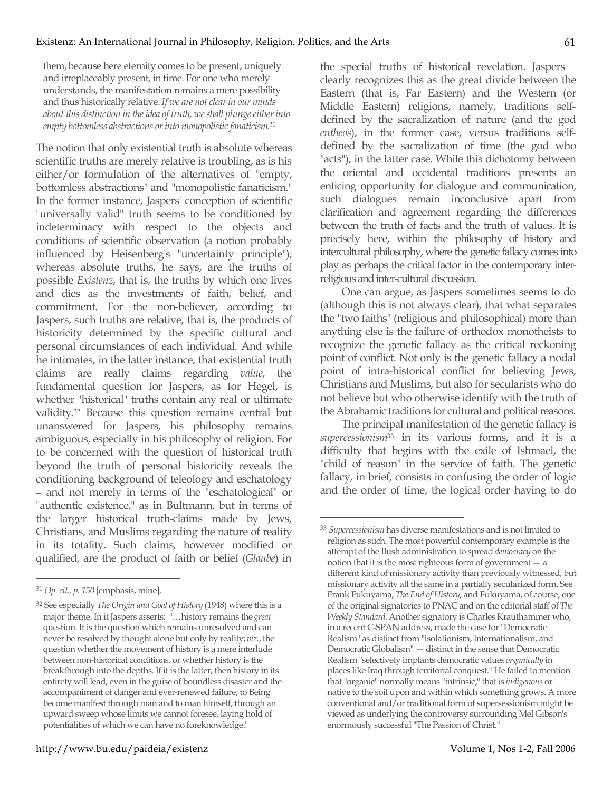them, because here eternity comes to be present, uniquely and irreplaceably present, in time. For one who merely understands, the manifestation remains a mere possibility and thus historically relative. *If we are not clear in our minds about this distinction in the idea of truth, we shall plunge either into empty bottomless abstractions or into monopolistic fanaticism*. 31

The notion that only existential truth is absolute whereas scientific truths are merely relative is troubling, as is his either/or formulation of the alternatives of "empty, bottomless abstractions" and "monopolistic fanaticism." In the former instance, Jaspers' conception of scientific "universally valid" truth seems to be conditioned by indeterminacy with respect to the objects and conditions of scientific observation (a notion probably influenced by Heisenberg's "uncertainty principle"); whereas absolute truths, he says, are the truths of possible *Existenz*, that is, the truths by which one lives and dies as the investments of faith, belief, and commitment. For the non-believer, according to Jaspers, such truths are relative, that is, the products of historicity determined by the specific cultural and personal circumstances of each individual. And while he intimates, in the latter instance, that existential truth claims are really claims regarding *value*, the fundamental question for Jaspers, as for Hegel, is whether "historical" truths contain any real or ultimate validity.32 Because this question remains central but unanswered for Jaspers, his philosophy remains ambiguous, especially in his philosophy of religion. For to be concerned with the question of historical truth beyond the truth of personal historicity reveals the conditioning background of teleology and eschatology – and not merely in terms of the "eschatological" or "authentic existence," as in Bultmann, but in terms of the larger historical truth-claims made by Jews, Christians, and Muslims regarding the nature of reality in its totality. Such claims, however modified or qualified, are the product of faith or belief (*Glaube*) in the special truths of historical revelation. Jaspers clearly recognizes this as the great divide between the Eastern (that is, Far Eastern) and the Western (or Middle Eastern) religions, namely, traditions selfdefined by the sacralization of nature (and the god *entheos*), in the former case, versus traditions selfdefined by the sacralization of time (the god who "acts"), in the latter case. While this dichotomy between the oriental and occidental traditions presents an enticing opportunity for dialogue and communication, such dialogues remain inconclusive apart from clarification and agreement regarding the differences between the truth of facts and the truth of values. It is precisely here, within the philosophy of history and intercultural philosophy, where the genetic fallacy comes into play as perhaps the critical factor in the contemporary interreligious and inter-cultural discussion.

One can argue, as Jaspers sometimes seems to do (although this is not always clear), that what separates the "two faiths" (religious and philosophical) more than anything else is the failure of orthodox monotheists to recognize the genetic fallacy as the critical reckoning point of conflict. Not only is the genetic fallacy a nodal point of intra-historical conflict for believing Jews, Christians and Muslims, but also for secularists who do not believe but who otherwise identify with the truth of the Abrahamic traditions for cultural and political reasons.

The principal manifestation of the genetic fallacy is *supercessionism*33 in its various forms, and it is a difficulty that begins with the exile of Ishmael, the "child of reason" in the service of faith. The genetic fallacy, in brief, consists in confusing the order of logic and the order of time, the logical order having to do

 <sup>31</sup> *Op. cit., p. 150* [emphasis, mine].

<sup>32</sup> See especially *The Origin and Goal of History* (1948) where this is a major theme. In it Jaspers asserts: "…history remains the *great* question. It is the question which remains unresolved and can never be resolved by thought alone but only by reality; *viz.*, the question whether the movement of history is a mere interlude between non-historical conditions, or whether history is the breakthrough into the depths. If it is the latter, then history in its entirety will lead, even in the guise of boundless disaster and the accompaniment of danger and ever-renewed failure, to Being become manifest through man and to man himself, through an upward sweep whose limits we cannot foresee, laying hold of potentialities of which we can have no foreknowledge."

 <sup>33</sup> *Supercessionism* has diverse manifestations and is not limited to religion as such. The most powerful contemporary example is the attempt of the Bush administration to spread *democracy* on the notion that it is the most righteous form of government  $-$  a different kind of missionary activity than previously witnessed, but missionary activity all the same in a partially secularized form. See Frank Fukuyama, *The End of History*, and Fukuyama, of course, one of the original signatories to PNAC and on the editorial staff of *The Weekly Standard.* Another signatory is Charles Krauthammer who, in a recent C-SPAN address, made the case for "Democratic Realism" as distinct from "Isolationism, Internationalism, and Democratic Globalism" — distinct in the sense that Democratic Realism "selectively implants democratic values *organically* in places like Iraq through territorial conquest." He failed to mention that "organic" normally means "intrinsic," that is *indigenous* or native to the soil upon and within which something grows. A more conventional and/or traditional form of supersessionism might be viewed as underlying the controversy surrounding Mel Gibson's enormously successful "The Passion of Christ."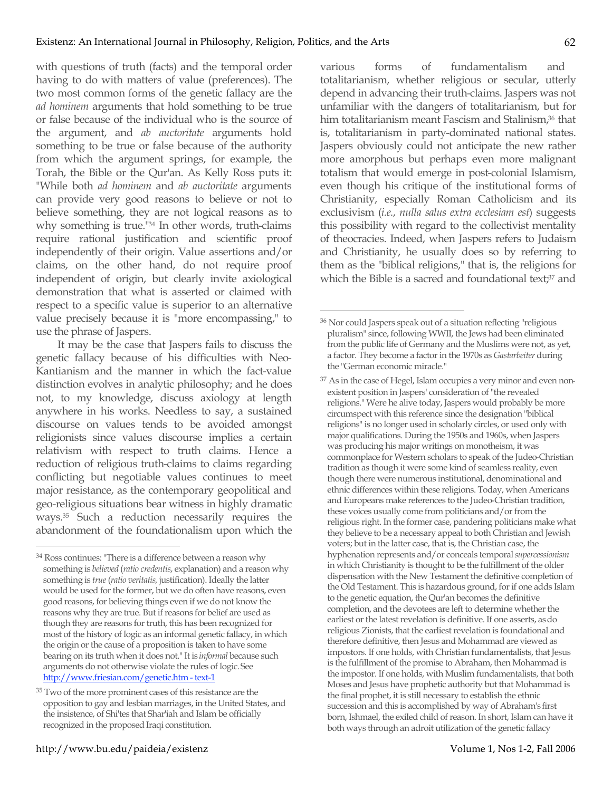with questions of truth (facts) and the temporal order having to do with matters of value (preferences). The two most common forms of the genetic fallacy are the *ad hominem* arguments that hold something to be true or false because of the individual who is the source of the argument, and *ab auctoritate* arguments hold something to be true or false because of the authority from which the argument springs, for example, the Torah, the Bible or the Qur'an. As Kelly Ross puts it: "While both *ad hominem* and *ab auctoritate* arguments can provide very good reasons to believe or not to believe something, they are not logical reasons as to why something is true."34 In other words, truth-claims require rational justification and scientific proof independently of their origin. Value assertions and/or claims, on the other hand, do not require proof independent of origin, but clearly invite axiological demonstration that what is asserted or claimed with respect to a specific value is superior to an alternative value precisely because it is "more encompassing," to use the phrase of Jaspers.

It may be the case that Jaspers fails to discuss the genetic fallacy because of his difficulties with Neo-Kantianism and the manner in which the fact-value distinction evolves in analytic philosophy; and he does not, to my knowledge, discuss axiology at length anywhere in his works. Needless to say, a sustained discourse on values tends to be avoided amongst religionists since values discourse implies a certain relativism with respect to truth claims. Hence a reduction of religious truth-claims to claims regarding conflicting but negotiable values continues to meet major resistance, as the contemporary geopolitical and geo-religious situations bear witness in highly dramatic ways.35 Such a reduction necessarily requires the abandonment of the foundationalism upon which the various forms of fundamentalism and totalitarianism, whether religious or secular, utterly depend in advancing their truth-claims. Jaspers was not unfamiliar with the dangers of totalitarianism, but for him totalitarianism meant Fascism and Stalinism,<sup>36</sup> that is, totalitarianism in party-dominated national states. Jaspers obviously could not anticipate the new rather more amorphous but perhaps even more malignant totalism that would emerge in post-colonial Islamism, even though his critique of the institutional forms of Christianity, especially Roman Catholicism and its exclusivism (*i.e.*, *nulla salus extra ecclesiam est*) suggests this possibility with regard to the collectivist mentality of theocracies. Indeed, when Jaspers refers to Judaism and Christianity, he usually does so by referring to them as the "biblical religions," that is, the religions for which the Bible is a sacred and foundational text;<sup>37</sup> and

 <sup>34</sup> Ross continues: "There is a difference between a reason why something is *believed* (*ratio credentis*, explanation) and a reason why something is *true* (*ratio veritatis,* justification). Ideally the latter would be used for the former, but we do often have reasons, even good reasons, for believing things even if we do not know the reasons why they are true. But if reasons for belief are used as though they are reasons for truth, this has been recognized for most of the history of logic as an informal genetic fallacy, in which the origin or the cause of a proposition is taken to have some bearing on its truth when it does not." It is *informal* because such arguments do not otherwise violate the rules of logic. See http://www.friesian.com/genetic.htm - text-1

<sup>35</sup> Two of the more prominent cases of this resistance are the opposition to gay and lesbian marriages, in the United States, and the insistence, of Shi'tes that Shar'iah and Islam be officially recognized in the proposed Iraqi constitution.

 <sup>36</sup> Nor could Jaspers speak out of a situation reflecting "religious pluralism" since, following WWII, the Jews had been eliminated from the public life of Germany and the Muslims were not, as yet, a factor. They become a factor in the 1970s as *Gastarbeiter* during the "German economic miracle."

<sup>&</sup>lt;sup>37</sup> As in the case of Hegel, Islam occupies a very minor and even nonexistent position in Jaspers' consideration of "the revealed religions." Were he alive today, Jaspers would probably be more circumspect with this reference since the designation "biblical religions" is no longer used in scholarly circles, or used only with major qualifications. During the 1950s and 1960s, when Jaspers was producing his major writings on monotheism, it was commonplace for Western scholars to speak of the Judeo-Christian tradition as though it were some kind of seamless reality, even though there were numerous institutional, denominational and ethnic differences within these religions. Today, when Americans and Europeans make references to the Judeo-Christian tradition, these voices usually come from politicians and/or from the religious right. In the former case, pandering politicians make what they believe to be a necessary appeal to both Christian and Jewish voters; but in the latter case, that is, the Christian case, the hyphenation represents and/or conceals temporal *supercessionism* in which Christianity is thought to be the fulfillment of the older dispensation with the New Testament the definitive completion of the Old Testament. This is hazardous ground, for if one adds Islam to the genetic equation, the Qur'an becomes the definitive completion, and the devotees are left to determine whether the earliest or the latest revelation is definitive. If one asserts, as do religious Zionists, that the earliest revelation is foundational and therefore definitive, then Jesus and Mohammad are viewed as impostors. If one holds, with Christian fundamentalists, that Jesus is the fulfillment of the promise to Abraham, then Mohammad is the impostor. If one holds, with Muslim fundamentalists, that both Moses and Jesus have prophetic authority but that Mohammad is the final prophet, it is still necessary to establish the ethnic succession and this is accomplished by way of Abraham's first born, Ishmael, the exiled child of reason. In short, Islam can have it both ways through an adroit utilization of the genetic fallacy